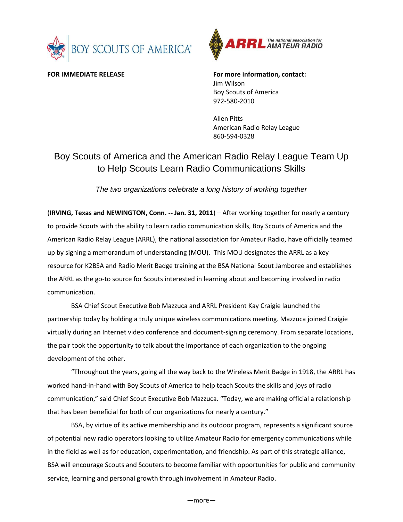



**FOR IMMEDIATE RELEASE For more information, contact:** Jim Wilson Boy Scouts of America 972-580-2010

> Allen Pitts American Radio Relay League 860-594-0328

## Boy Scouts of America and the American Radio Relay League Team Up to Help Scouts Learn Radio Communications Skills

*The two organizations celebrate a long history of working together* 

(**IRVING, Texas and NEWINGTON, Conn. -- Jan. 31, 2011**) – After working together for nearly a century to provide Scouts with the ability to learn radio communication skills, Boy Scouts of America and the American Radio Relay League (ARRL), the national association for Amateur Radio, have officially teamed up by signing a memorandum of understanding (MOU). This MOU designates the ARRL as a key resource for K2BSA and Radio Merit Badge training at the BSA National Scout Jamboree and establishes the ARRL as the go-to source for Scouts interested in learning about and becoming involved in radio communication.

BSA Chief Scout Executive Bob Mazzuca and ARRL President Kay Craigie launched the partnership today by holding a truly unique wireless communications meeting. Mazzuca joined Craigie virtually during an Internet video conference and document-signing ceremony. From separate locations, the pair took the opportunity to talk about the importance of each organization to the ongoing development of the other.

"Throughout the years, going all the way back to the Wireless Merit Badge in 1918, the ARRL has worked hand-in-hand with Boy Scouts of America to help teach Scouts the skills and joys of radio communication," said Chief Scout Executive Bob Mazzuca. "Today, we are making official a relationship that has been beneficial for both of our organizations for nearly a century."

BSA, by virtue of its active membership and its outdoor program, represents a significant source of potential new radio operators looking to utilize Amateur Radio for emergency communications while in the field as well as for education, experimentation, and friendship. As part of this strategic alliance, BSA will encourage Scouts and Scouters to become familiar with opportunities for public and community service, learning and personal growth through involvement in Amateur Radio.